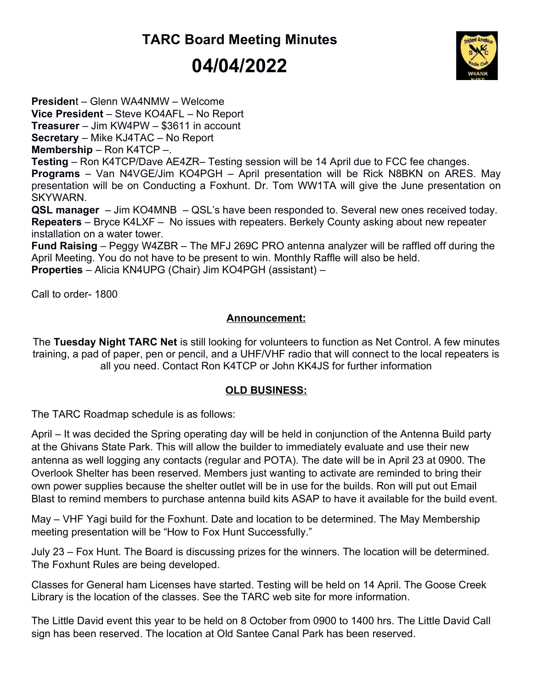## TARC Board Meeting Minutes 04/04/2022



President – Glenn WA4NMW – Welcome Vice President – Steve KO4AFL – No Report Treasurer – Jim KW4PW – \$3611 in account Secretary – Mike KJ4TAC – No Report Membership – Ron K4TCP –. Testing – Ron K4TCP/Dave AE4ZR– Testing session will be 14 April due to FCC fee changes. Programs – Van N4VGE/Jim KO4PGH – April presentation will be Rick N8BKN on ARES. May presentation will be on Conducting a Foxhunt. Dr. Tom WW1TA will give the June presentation on SKYWARN. QSL manager – Jim KO4MNB – QSL's have been responded to. Several new ones received today. Repeaters – Bryce K4LXF – No issues with repeaters. Berkely County asking about new repeater installation on a water tower. Fund Raising – Peggy W4ZBR – The MFJ 269C PRO antenna analyzer will be raffled off during the April Meeting. You do not have to be present to win. Monthly Raffle will also be held. Properties – Alicia KN4UPG (Chair) Jim KO4PGH (assistant) –

Call to order- 1800

## Announcement:

The Tuesday Night TARC Net is still looking for volunteers to function as Net Control. A few minutes training, a pad of paper, pen or pencil, and a UHF/VHF radio that will connect to the local repeaters is all you need. Contact Ron K4TCP or John KK4JS for further information

## OLD BUSINESS:

The TARC Roadmap schedule is as follows:

April – It was decided the Spring operating day will be held in conjunction of the Antenna Build party at the Ghivans State Park. This will allow the builder to immediately evaluate and use their new antenna as well logging any contacts (regular and POTA). The date will be in April 23 at 0900. The Overlook Shelter has been reserved. Members just wanting to activate are reminded to bring their own power supplies because the shelter outlet will be in use for the builds. Ron will put out Email Blast to remind members to purchase antenna build kits ASAP to have it available for the build event.

May – VHF Yagi build for the Foxhunt. Date and location to be determined. The May Membership meeting presentation will be "How to Fox Hunt Successfully."

July 23 – Fox Hunt. The Board is discussing prizes for the winners. The location will be determined. The Foxhunt Rules are being developed.

Classes for General ham Licenses have started. Testing will be held on 14 April. The Goose Creek Library is the location of the classes. See the TARC web site for more information.

The Little David event this year to be held on 8 October from 0900 to 1400 hrs. The Little David Call sign has been reserved. The location at Old Santee Canal Park has been reserved.